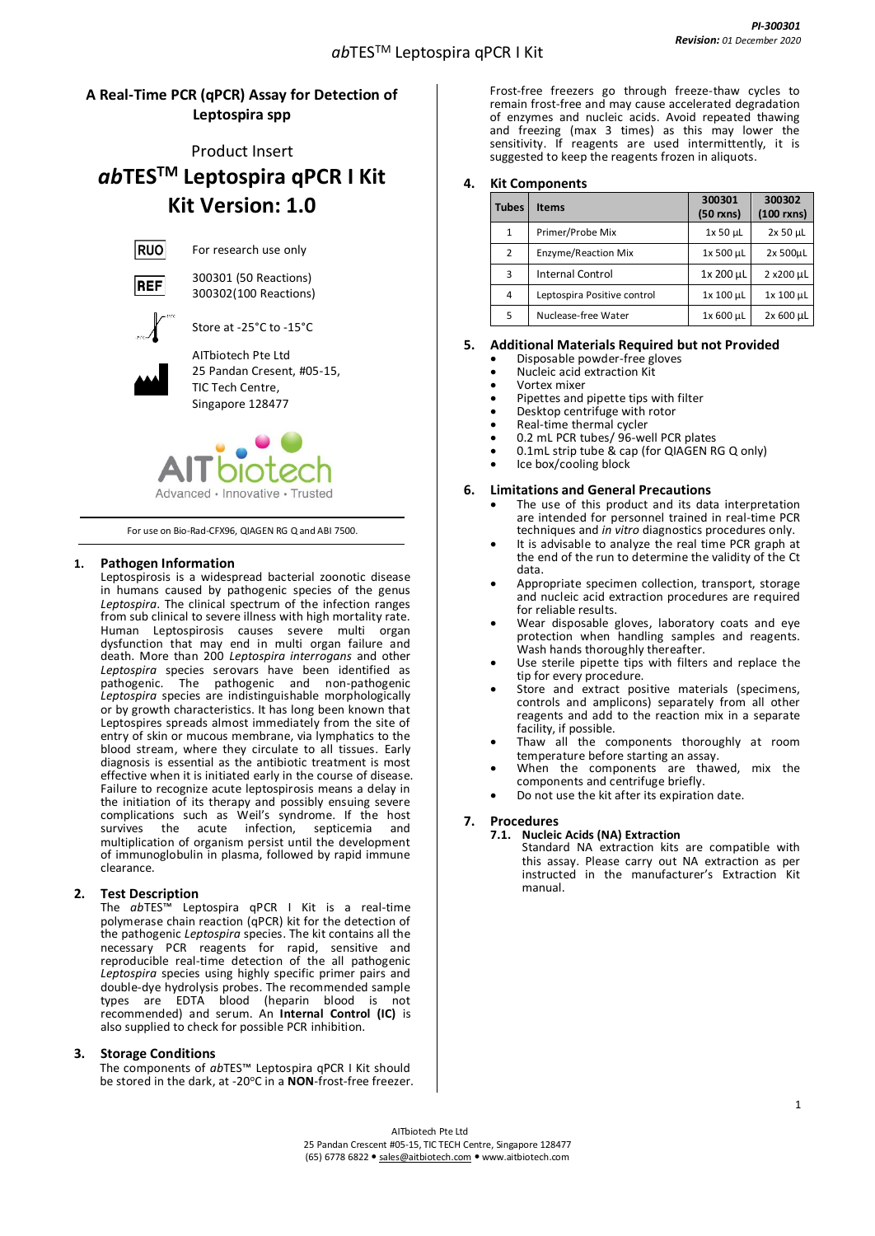## **A Real-Time PCR (qPCR) Assay for Detection of Leptospira spp**

## Product Insert *ab***TESTM Leptospira qPCR I Kit Kit Version: 1.0**

**RUO** 

For research use only 300301 (50 Reactions)

300302(100 Reactions)



Store at -25°C to -15°C



AITbiotech Pte Ltd 25 Pandan Cresent, #05-15, TIC Tech Centre, Singapore 128477



For use on Bio-Rad-CFX96, QIAGEN RG Q and ABI 7500.

#### **1. Pathogen Information**

Leptospirosis is a widespread bacterial zoonotic disease in humans caused by pathogenic species of the genus *Leptospira*. The clinical spectrum of the infection ranges from sub clinical to severe illness with high mortality rate. Human Leptospirosis causes severe multi organ dysfunction that may end in multi organ failure and death. More than 200 *Leptospira interrogans* and other *Leptospira* species serovars have been identified as pathogenic. The pathogenic and non-pathogenic *Leptospira* species are indistinguishable morphologically or by growth characteristics. It has long been known that Leptospires spreads almost immediately from the site of entry of skin or mucous membrane, via lymphatics to the blood stream, where they circulate to all tissues. Early diagnosis is essential as the antibiotic treatment is most effective when it is initiated early in the course of disease. Failure to recognize acute leptospirosis means a delay in the initiation of its therapy and possibly ensuing severe complications such as Weil's syndrome. If the host survives the acute infection, septicemia and multiplication of organism persist until the development of immunoglobulin in plasma, followed by rapid immune clearance.

#### **2. Test Description**

The *ab*TES™ Leptospira qPCR I Kit is a real-time polymerase chain reaction (qPCR) kit for the detection of the pathogenic *Leptospira* species. The kit contains all the necessary PCR reagents for rapid, sensitive and reproducible real-time detection of the all pathogenic *Leptospira* species using highly specific primer pairs and double-dye hydrolysis probes. The recommended sample types are EDTA blood (heparin blood is not recommended) and serum. An **Internal Control (IC)** is also supplied to check for possible PCR inhibition.

#### **3. Storage Conditions**

The components of *ab*TES™ Leptospira qPCR I Kit should be stored in the dark, at -20°C in a **NON**-frost-free freezer. Frost-free freezers go through freeze-thaw cycles to remain frost-free and may cause accelerated degradation of enzymes and nucleic acids. Avoid repeated thawing and freezing (max 3 times) as this may lower the sensitivity. If reagents are used intermittently, it is suggested to keep the reagents frozen in aliquots.

#### **4. Kit Components**

| <b>Tubes</b> | <b>Items</b>                | 300301<br>$(50$ rxns) | 300302<br>$(100$ rxns) |
|--------------|-----------------------------|-----------------------|------------------------|
| $\mathbf{1}$ | Primer/Probe Mix            | 1x 50 µL              | 2x 50 µL               |
| 2            | Enzyme/Reaction Mix         | 1x 500 µL             | 2x 500µL               |
| 3            | <b>Internal Control</b>     | 1x 200 µL             | 2 x200 µL              |
| 4            | Leptospira Positive control | 1x 100 µL             | 1x 100 µL              |
| 5            | Nuclease-free Water         | 1x 600 µL             | $2x 600 \mu L$         |

#### **5. Additional Materials Required but not Provided**

- Disposable powder-free gloves
- Nucleic acid extraction Kit
- Vortex mixer
- Pipettes and pipette tips with filter
- Desktop centrifuge with rotor
- Real-time thermal cycler
- 0.2 mL PCR tubes/ 96-well PCR plates
- 0.1mL strip tube & cap (for QIAGEN RG Q only)
- Ice box/cooling block

#### **6. Limitations and General Precautions**

- The use of this product and its data interpretation are intended for personnel trained in real-time PCR techniques and *in vitro* diagnostics procedures only.
- It is advisable to analyze the real time PCR graph at the end of the run to determine the validity of the Ct data.
- Appropriate specimen collection, transport, storage and nucleic acid extraction procedures are required for reliable results.
- Wear disposable gloves, laboratory coats and eye protection when handling samples and reagents. Wash hands thoroughly thereafter.
- Use sterile pipette tips with filters and replace the tip for every procedure.
- Store and extract positive materials (specimens, controls and amplicons) separately from all other reagents and add to the reaction mix in a separate facility, if possible.
- Thaw all the components thoroughly at room temperature before starting an assay.
- When the components are thawed, mix the components and centrifuge briefly.
- Do not use the kit after its expiration date.

### **7. Procedures**

**7.1. Nucleic Acids (NA) Extraction**

Standard NA extraction kits are compatible with this assay. Please carry out NA extraction as per instructed in the manufacturer's Extraction Kit manual.